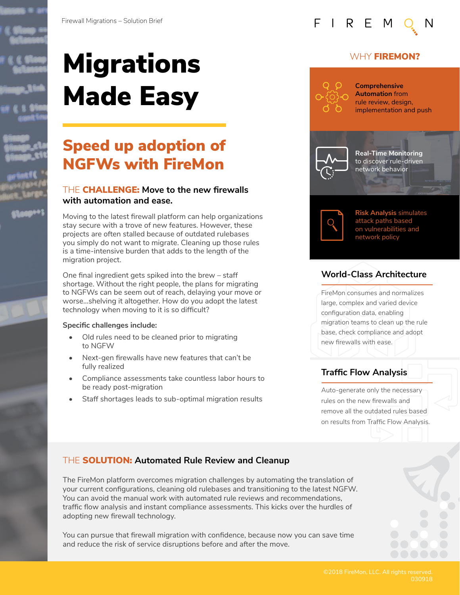





# **Migrations** Made Easy

## Speed up adoption of NGFWs with FireMon

#### THE CHALLENGE: **Move to the new firewalls with automation and ease.**

Moving to the latest firewall platform can help organizations stay secure with a trove of new features. However, these projects are often stalled because of outdated rulebases you simply do not want to migrate. Cleaning up those rules is a time-intensive burden that adds to the length of the migration project.

One final ingredient gets spiked into the brew – staff shortage. Without the right people, the plans for migrating to NGFWs can be seem out of reach, delaying your move or worse…shelving it altogether. How do you adopt the latest technology when moving to it is so difficult?

#### **Specific challenges include:**

- Old rules need to be cleaned prior to migrating to NGFW
- Next-gen firewalls have new features that can't be fully realized
- Compliance assessments take countless labor hours to be ready post-migration
- Staff shortages leads to sub-optimal migration results



#### WHY **FIREMON?**



**Comprehensive Automation** from rule review, design, implementation and push



**Real-Time Monitoring**  to discover rule-driven network behavior



**Risk Analysis** simulates attack paths based on vulnerabilities and network policy

### **World-Class Architecture**

FireMon consumes and normalizes large, complex and varied device configuration data, enabling migration teams to clean up the rule base, check compliance and adopt new firewalls with ease.

## **Traffic Flow Analysis**

Auto-generate only the necessary rules on the new firewalls and remove all the outdated rules based on results from Traffic Flow Analysis.

### THE SOLUTION: **Automated Rule Review and Cleanup**

The FireMon platform overcomes migration challenges by automating the translation of your current configurations, cleaning old rulebases and transitioning to the latest NGFW. You can avoid the manual work with automated rule reviews and recommendations, traffic flow analysis and instant compliance assessments. This kicks over the hurdles of adopting new firewall technology.

You can pursue that firewall migration with confidence, because now you can save time and reduce the risk of service disruptions before and after the move.